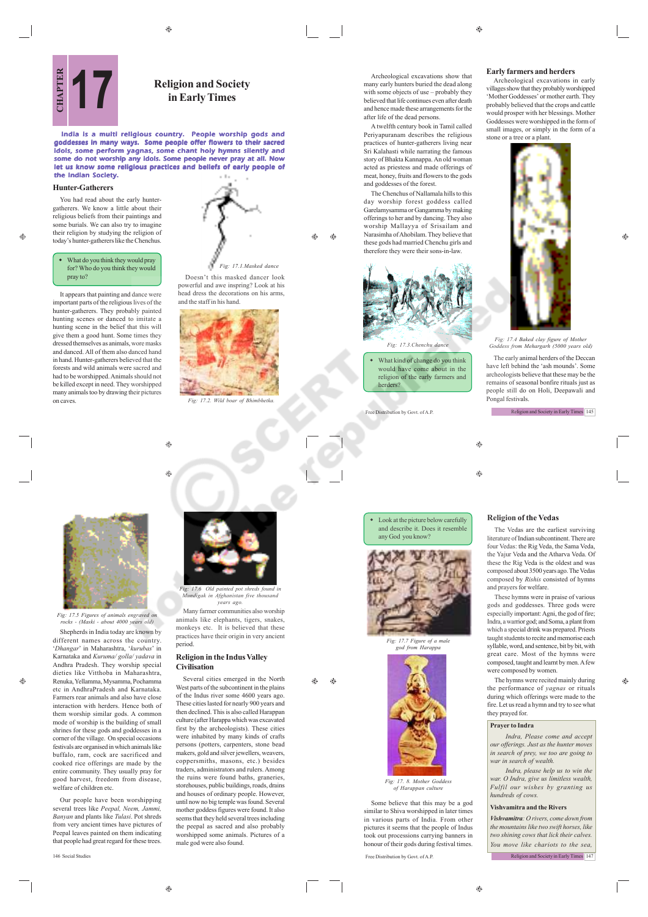$\circledcirc$ 

Archeological excavations show that many early hunters buried the dead along with some objects of use – probably they believed that life continues even after death and hence made these arrangements for the after life of the dead persons.

A twelfth century book in Tamil called Periyapuranam describes the religious practices of hunter-gatherers living near Sri Kalahasti while narrating the famous story of Bhakta Kannappa. An old woman acted as priestess and made offerings of meat, honey, fruits and flowers to the gods and goddesses of the forest.

The Chenchus of Nallamala hills to this day worship forest goddess called Garelamysamma or Gangamma by making offerings to her and by dancing. They also worship Mallayya of Srisailam and

# **Early farmers and herders**

Archeological excavations in early villages show that they probably worshipped 'Mother Goddesses' or mother earth. They probably believed that the crops and cattle would prosper with her blessings. Mother Goddesses were worshipped in the form of small images, or simply in the form of a stone or a tree or a plant.



 $\bigoplus$ 

*Fig: 17.4 Baked clay figure of Mother Goddess from Mehargarh (5000 years old)*

The early animal herders of the Deccan have left behind the 'ash mounds'. Some archeologists believe that these may be the remains of seasonal bonfire rituals just as people still do on Holi, Deepawali and Pongal festivals.

Religion and Society in Early Times 145

⊕

#### Look at the picture below carefully and describe it. Does it resemble any God you know?



Some believe that this may be a god similar to Shiva worshipped in later times in various parts of India. From other pictures it seems that the people of Indus took out processions carrying banners in honour of their gods during festival times.



 $\bigoplus$ 

ക

*Fig: 17.7 Figure of a male god from Harappa*



# *of Harappan culture*

Free Distribution by Govt. of A.P.



 What kind of change do you think would have come about in the religion of the early farmers and herders?

Free Distribution by Govt. of A.P.

# $\bigoplus$

**Religion of the Vedas** The Vedas are the earliest surviving



These hymns were in praise of various gods and goddesses. Three gods were especially important: Agni, the god of fire; Indra, a warrior god; and Soma, a plant from which a special drink was prepared. Priests taught students to recite and memorise each syllable, word, and sentence, bit by bit, with great care. Most of the hymns were composed, taught and learnt by men. A few were composed by women.

The hymns were recited mainly during the performance of *yagnas* or rituals during which offerings were made to the fire. Let us read a hymn and try to see what they prayed for.

# **Prayer to Indra**

*Indra, Please come and accept our offerings. Just as the hunter moves in search of prey, we too are going to war in search of wealth.*

*Indra, please help us to win the war. O Indra, give us limitless wealth, Fulfil our wishes by granting us hundreds of cows.*

## **Vishvamitra and the Rivers**

*Vishvamitra: O rivers, come down from the mountains like two swift horses, like two shining cows that lick their calves. You move like chariots to the sea,*

Religion and Society in Early Times 147

**in Early Times**

Doesn't this masked dancer look powerful and awe inspring? Look at his head dress the decorations on his arms,

*Fig: 17.1.Masked dance*

7.2. Wild boar of Bhia

*Fig: 17.6 Old painted pot shreds found in Mundigak in Afghanistan five thousand years ago.* Many farmer communities also worship animals like elephants, tigers, snakes, monkeys etc. It is believed that these practices have their origin in very ancient

**Religion in the Indus Valley**

male god were also found.

Several cities emerged in the North West parts of the subcontinent in the plains of the Indus river some 4600 years ago. These cities lasted for nearly 900 years and then declined. This is also called Harappan culture (after Harappa which was excavated first by the archeologists). These cities were inhabited by many kinds of crafts persons (potters, carpenters, stone bead makers, gold and silver jewellers, weavers, coppersmiths, masons, etc.) besides traders, administrators and rulers. Among the ruins were found baths, graneries, storehouses, public buildings, roads, drains and houses of ordinary people. However, until now no big temple was found. Several mother goddess figures were found. It also seems that they held several trees including the peepal as sacred and also probably worshipped some animals. Pictures of a

Æ۵ ⊕

period.

 $\qquad \qquad \textcircled{\scriptsize{9}}$ 

۳

**Civilisation**

and the staff in his hand.

India is a multi religious country. People worship gods and goddesses in many ways. Some people offer flowers to their sacred idols, some perform yagnas, some chant holy hymns silently and some do not worship any idols. Some people never pray at all. Now let us know some religious practices and beliefs of early people of the Indian Society.

#### **Hunter-Gatherers**

æ

You had read about the early huntergatherers. We know a little about their religious beliefs from their paintings and some burials. We can also try to imagine their religion by studying the religion of today's hunter-gatherers like the Chenchus.

#### What do you think they would pray for? Who do you think they wo pray to?

It appears that painting and dance were important parts of the religious lives of the hunter-gatherers. They probably painted hunting scenes or danced to imitate a hunting scene in the belief that this will give them a good hunt. Some times they dressed themselves as animals, wore masks and danced. All of them also danced hand in hand. Hunter-gatherers believed that the forests and wild animals were sacred and had to be worshipped. Animals should not be killed except in need. They worshipped many animals too by drawing their pictures **17 Religion and Society**<br> **17 CHAPTER 17 CHAPTER 17 CHAPTER 17 CHAPTER 17 CHAPTER 17 CHAPTER CHAPTER 17 CHAPTER 17 CHAPTER CHAPTER CHAPTER CHAPTER CHAPTER CHAPTER CHAPTER CH** 



*Fig: 17.5 Figures of animals engraved on rocks - (Maski - about 4000 years old)* Shepherds in India today are known by

different names across the country.

'*Dhangar*' in Maharashtra, '*kurubas*' in Karnataka and *Kuruma/ golla/ yadava* in Andhra Pradesh. They worship special dieties like Vitthoba in Maharashtra, Renuka, Yellamma, Mysamma, Pochamma etc in AndhraPradesh and Karnataka. Farmers rear animals and also have close interaction with herders. Hence both of them worship similar gods. A common mode of worship is the building of small shrines for these gods and goddesses in a corner of the village. On special occasions festivals are organised in which animals like buffalo, ram, cock are sacrificed and cooked rice offerings are made by the entire community. They usually pray for good harvest, freedom from disease, welfare of children etc.

Our people have been worshipping several trees like *Peepal, Neem, Jammi, Banyan* and plants like *Tulasi*. Pot shreds from very ancient times have pictures of Peepal leaves painted on them indicating that people had great regard for these trees.

 $\oplus$ 

♠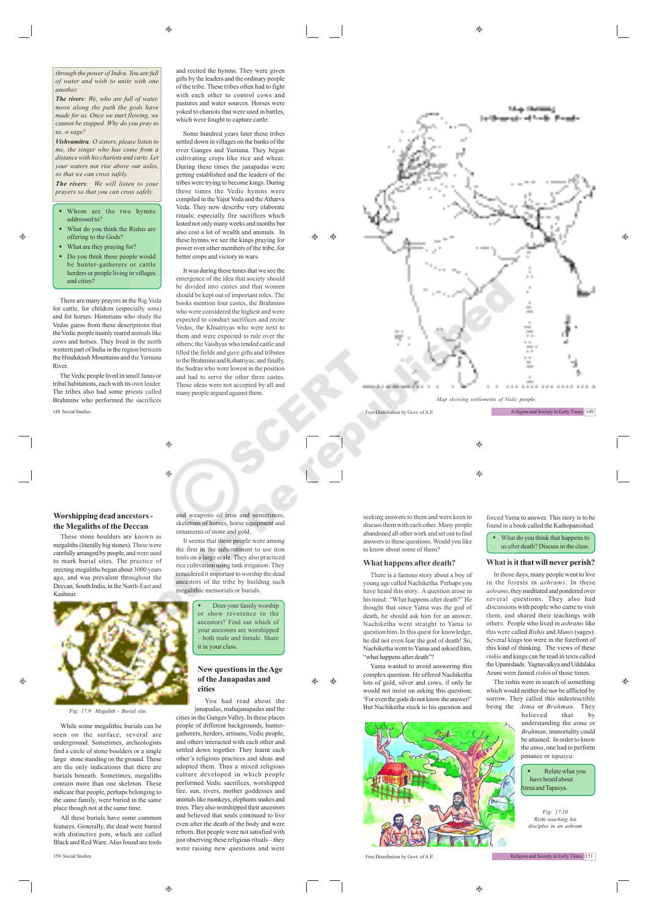$\bigoplus$ 

*through the power of Indra. You are full of water and wish to unite with one another.*

*The rivers: We, who are full of water, move along the path the gods have made for us. Once we start flowing, we cannot be stopped. Why do you pray to us, o sage?*

*Vishvamitra: O sisters, please listen to me, the singer who has come from a distance with his chariots and carts. Let your waters not rise above our axles, so that we can cross safely.*

*The rivers: We will listen to your prayers so that you can cross safely.*

- Whom are the two hymns addressed to?
- What do you think the Rishis are offering to the Gods?

æ

 What are they praying for? Do you think these people would be hunter-gatherers or cattle herders or people living in villages and cities?

There are many prayers in the Rig Veda for cattle, for children (especially sons) and for horses. Historians who study the Vedas guess from these descriptions that the Vedic people mainly reared animals like cows and horses. They lived in the north western part of India in the region between the Hindukush Mountains and the Yamuna River.

The Vedic people lived in small Janas or tribal habitations, each with its own leader. The tribes also had some priests called Brahmins who performed the sacrifices 148 Social Studies Free Distribution by Govt. of A.P.

and recited the hymns. They were given gifts by the leaders and the ordinary people of the tribe. These tribes often had to fight with each other to control cows and pastures and water sources. Horses were yoked to chariots that were used in battles, which were fought to capture cattle.

Some hundred years later these tribes settled down in villages on the banks of the river Ganges and Yamuna. They began cultivating crops like rice and wheat. During these times the janapadas were getting established and the leaders of the tribes were trying to become kings. During these times the Vedic hymns were compiled in the Yajur Veda and the Atharva Veda. They now describe very elaborate rituals; especially fire sacrifices which lasted not only many weeks and months but also cost a lot of wealth and animals. In these hymns we see the kings praying for power over other members of the tribe, for better crops and victory in wars.

It was during these times that we see the emergence of the idea that society should be divided into castes and that women should be kept out of important roles. The books mention four castes, the Brahmins who were considered the highest and were expected to conduct sacrifices and recite Vedas; the Khsatriyas who were next to them and were expected to rule over the others; the Vaishyas who tended cattle and tilled the fields and gave gifts and tributes to the Brahmins and Kshatriyas; and finally, the Sudras who were lowest in the position and had to serve the other three castes. These ideas were not accepted by all and many people argued against them.



 $\bigcirc$ 

Religion and Society in Early Times 149

۸

 $\bigcirc$ 

 $\triangle$ Ġ

# **Worshipping dead ancestors the Megaliths of the Deccan**

These stone boulders are known as megaliths (literally big stones). These were carefully arranged by people, and were used to mark burial sites. The practice of erecting megaliths began about 3000 years ago, and was prevalent throughout the Deccan, South India, in the North-East and Kashmir.



*Fig: 17.9 Megalith - Burial site.*

While some megalithic burials can be seen on the surface, several are underground. Sometimes, archeologists find a circle of stone boulders or a single large stone standing on the ground. These are the only indications that there are burials beneath. Sometimes, megaliths contain more than one skeleton. These indicate that people, perhaps belonging to the same family, were buried in the same place though not at the same time.

All these burials have some common features. Generally, the dead were buried with distinctive pots, which are called Black and Red Ware. Also found are tools

 $\bigoplus$ 

 $\oplus$ 

and weapons of iron and sometimes skeletons of horses, horse equipment and ornaments of stone and gold.

It seems that these people were among the first in the subcontinent to use iron tools on a large scale. They also practiced rice cultivation using tank irrigation. They considered it important to worship the dead ancestors of the tribe by building such megalithic memorials or burials.

> Does your family worship or show reverence to the ancestors? Find out which of your ancestors are worshipped – both male and female. Share it in your class.

## **New questions in the Age of the Janapadas and cities**

You had read about the janapadas, mahajanapadas and the cities in the Ganges Valley. In these places people of different backgrounds, huntergatherers, herders, artisans, Vedic people, and others interacted with each other and settled down together. They learnt each other's religious practices and ideas and adopted them. Thus a mixed religious culture developed in which people performed Vedic sacrifices, worshipped fire, sun, rivers, mother goddesses and animals like monkeys, elephants snakes and trees. They also worshipped their ancestors and believed that souls continued to live even after the death of the body and were reborn. But people were not satisfied with just observing these religious rituals – they were raising new questions and were

seeking answers to them and were keen to discuss them with each other. Many people abandoned all other work and set out to find answers to these questions. Would you like to know about some of them?

# **What happens after death?**

There is a famous story about a boy of oung age called Nachiketha. Perhaps you have heard this story. A question arose in his mind: "What happens after death?" He thought that since Yama was the god of death, he should ask him for an answer. Nachiketha went straight to Yama to question him. In this quest for knowledge, he did not even fear the god of death! So, Nachiketha went to Yama and asksed him, "what happens after death"?

Yama wanted to avoid answering this complex question. He offered Nachiketha lots of gold, silver and cows, if only he would not insist on asking this question; 'For even the gods do not know the answer!' But Nachiketha stuck to his question and

Æ۵



150 Social Studies Free Distribution by Govt. of A.P.

forced Yama to answer. This story is to be found in a book called the Kathopanishad.

 What do you think that happens to us after death? Discuss in the class.

## **What is it that will never perish?**

In those days, many people went to live in the forests in *ashrams*. In these *ashrams*, they meditated and pondered over several questions. They also had discussions with people who came to visit them, and shared their teachings with others. People who lived in *ashrams* like this were called *Rishis* and *Munis* (sages). Several kings too were in the forefront of this kind of thinking. The views of these *rishis* and kings can be read in texts called the Upanishads. Yagnavalkya and Uddalaka Aruni were famed *rishi*s of those times.

The rishis were in search of something which would neither die nor be afflicted by sorrow. They called this indestructible being the *Atma* or *Brahman*. They

> believed that by understanding the *atma* or *Brahman*, immortality could be attained. In order to know the *atma*, one had to perform penance or *tapasya*.

 Relate what you have heard about ma and Tapasya.

*Fig: 17.10 Rishi teaching his disciples in an ashram* ♠

 $\qquad \qquad \circledast$